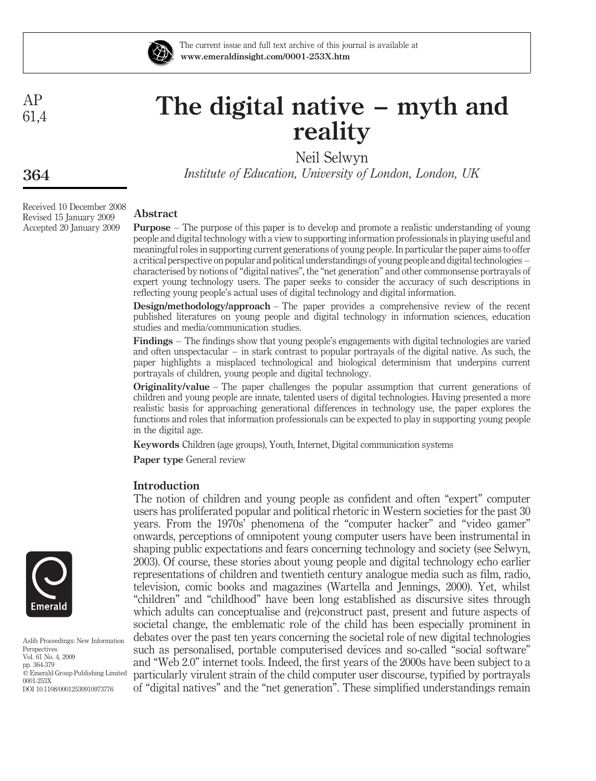

AP 61,4

364

# The digital native – myth and reality

Neil Selwyn

Institute of Education, University of London, London, UK

Received 10 December 2008 Revised 15 January 2009 Accepted 20 January 2009

# Abstract

Purpose – The purpose of this paper is to develop and promote a realistic understanding of young people and digital technology with a view to supporting information professionals in playing useful and meaningful roles in supporting current generations of young people. In particular the paper aims to offer a critical perspective on popular and political understandings of young people and digital technologies – characterised by notions of "digital natives", the "net generation" and other commonsense portrayals of expert young technology users. The paper seeks to consider the accuracy of such descriptions in reflecting young people's actual uses of digital technology and digital information.

Design/methodology/approach – The paper provides a comprehensive review of the recent published literatures on young people and digital technology in information sciences, education studies and media/communication studies.

Findings – The findings show that young people's engagements with digital technologies are varied and often unspectacular – in stark contrast to popular portrayals of the digital native. As such, the paper highlights a misplaced technological and biological determinism that underpins current portrayals of children, young people and digital technology.

**Originality/value** – The paper challenges the popular assumption that current generations of children and young people are innate, talented users of digital technologies. Having presented a more realistic basis for approaching generational differences in technology use, the paper explores the functions and roles that information professionals can be expected to play in supporting young people in the digital age.

Keywords Children (age groups), Youth, Internet, Digital communication systems

Paper type General review

# Introduction

The notion of children and young people as confident and often "expert" computer users has proliferated popular and political rhetoric in Western societies for the past 30 years. From the 1970s' phenomena of the "computer hacker" and "video gamer" onwards, perceptions of omnipotent young computer users have been instrumental in shaping public expectations and fears concerning technology and society (see Selwyn, 2003). Of course, these stories about young people and digital technology echo earlier representations of children and twentieth century analogue media such as film, radio, television, comic books and magazines (Wartella and Jennings, 2000). Yet, whilst "children" and "childhood" have been long established as discursive sites through which adults can conceptualise and (re)construct past, present and future aspects of societal change, the emblematic role of the child has been especially prominent in debates over the past ten years concerning the societal role of new digital technologies such as personalised, portable computerised devices and so-called "social software" and "Web 2.0" internet tools. Indeed, the first years of the 2000s have been subject to a particularly virulent strain of the child computer user discourse, typified by portrayals of "digital natives" and the "net generation". These simplified understandings remain



Aslib Proceedings: New Information Perspectives Vol. 61 No. 4, 2009 pp. 364-379  $©$  Emerald Group Publishing Limited 0001-253X DOI 10.1108/00012530910973776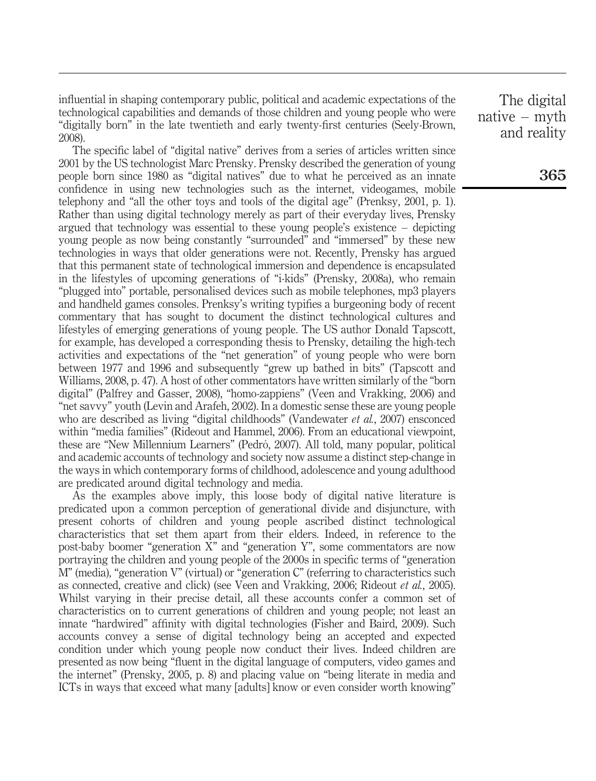influential in shaping contemporary public, political and academic expectations of the technological capabilities and demands of those children and young people who were "digitally born" in the late twentieth and early twenty-first centuries (Seely-Brown, 2008).

The specific label of "digital native" derives from a series of articles written since 2001 by the US technologist Marc Prensky. Prensky described the generation of young people born since 1980 as "digital natives" due to what he perceived as an innate confidence in using new technologies such as the internet, videogames, mobile telephony and "all the other toys and tools of the digital age" (Prenksy, 2001, p. 1). Rather than using digital technology merely as part of their everyday lives, Prensky argued that technology was essential to these young people's existence – depicting young people as now being constantly "surrounded" and "immersed" by these new technologies in ways that older generations were not. Recently, Prensky has argued that this permanent state of technological immersion and dependence is encapsulated in the lifestyles of upcoming generations of "i-kids" (Prensky, 2008a), who remain "plugged into" portable, personalised devices such as mobile telephones, mp3 players and handheld games consoles. Prenksy's writing typifies a burgeoning body of recent commentary that has sought to document the distinct technological cultures and lifestyles of emerging generations of young people. The US author Donald Tapscott, for example, has developed a corresponding thesis to Prensky, detailing the high-tech activities and expectations of the "net generation" of young people who were born between 1977 and 1996 and subsequently "grew up bathed in bits" (Tapscott and Williams, 2008, p. 47). A host of other commentators have written similarly of the "born digital" (Palfrey and Gasser, 2008), "homo-zappiens" (Veen and Vrakking, 2006) and "net savvy" youth (Levin and Arafeh, 2002). In a domestic sense these are young people who are described as living "digital childhoods" (Vandewater *et al.*, 2007) ensconced within "media families" (Rideout and Hammel, 2006). From an educational viewpoint, these are "New Millennium Learners" (Pedro´, 2007). All told, many popular, political and academic accounts of technology and society now assume a distinct step-change in the ways in which contemporary forms of childhood, adolescence and young adulthood are predicated around digital technology and media.

As the examples above imply, this loose body of digital native literature is predicated upon a common perception of generational divide and disjuncture, with present cohorts of children and young people ascribed distinct technological characteristics that set them apart from their elders. Indeed, in reference to the post-baby boomer "generation X" and "generation Y", some commentators are now portraying the children and young people of the 2000s in specific terms of "generation M" (media), "generation V" (virtual) or "generation C" (referring to characteristics such as connected, creative and click) (see Veen and Vrakking, 2006; Rideout et al., 2005). Whilst varying in their precise detail, all these accounts confer a common set of characteristics on to current generations of children and young people; not least an innate "hardwired" affinity with digital technologies (Fisher and Baird, 2009). Such accounts convey a sense of digital technology being an accepted and expected condition under which young people now conduct their lives. Indeed children are presented as now being "fluent in the digital language of computers, video games and the internet" (Prensky, 2005, p. 8) and placing value on "being literate in media and ICTs in ways that exceed what many [adults] know or even consider worth knowing"

The digital native – myth and reality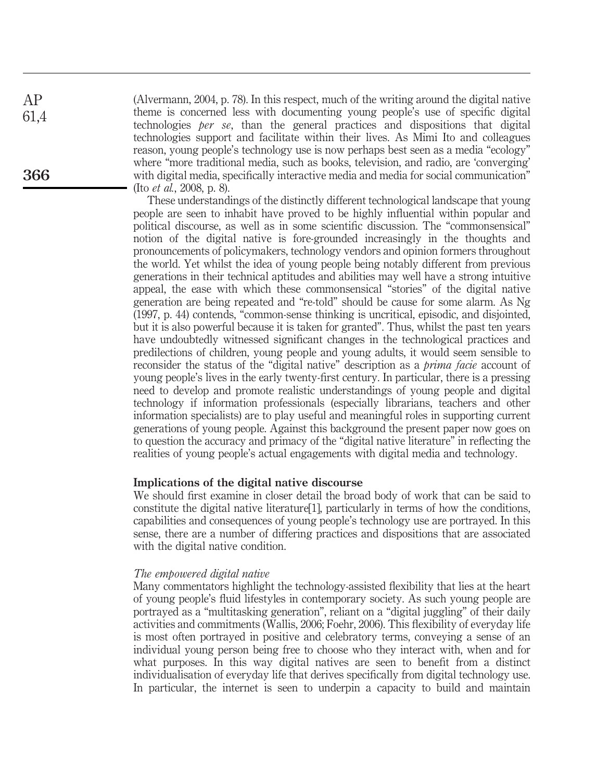(Alvermann, 2004, p. 78). In this respect, much of the writing around the digital native theme is concerned less with documenting young people's use of specific digital technologies per se, than the general practices and dispositions that digital technologies support and facilitate within their lives. As Mimi Ito and colleagues reason, young people's technology use is now perhaps best seen as a media "ecology" where "more traditional media, such as books, television, and radio, are 'converging' with digital media, specifically interactive media and media for social communication" (Ito et al., 2008, p. 8).

These understandings of the distinctly different technological landscape that young people are seen to inhabit have proved to be highly influential within popular and political discourse, as well as in some scientific discussion. The "commonsensical" notion of the digital native is fore-grounded increasingly in the thoughts and pronouncements of policymakers, technology vendors and opinion formers throughout the world. Yet whilst the idea of young people being notably different from previous generations in their technical aptitudes and abilities may well have a strong intuitive appeal, the ease with which these commonsensical "stories" of the digital native generation are being repeated and "re-told" should be cause for some alarm. As Ng (1997, p. 44) contends, "common-sense thinking is uncritical, episodic, and disjointed, but it is also powerful because it is taken for granted". Thus, whilst the past ten years have undoubtedly witnessed significant changes in the technological practices and predilections of children, young people and young adults, it would seem sensible to reconsider the status of the "digital native" description as a prima facie account of young people's lives in the early twenty-first century. In particular, there is a pressing need to develop and promote realistic understandings of young people and digital technology if information professionals (especially librarians, teachers and other information specialists) are to play useful and meaningful roles in supporting current generations of young people. Against this background the present paper now goes on to question the accuracy and primacy of the "digital native literature" in reflecting the realities of young people's actual engagements with digital media and technology.

# Implications of the digital native discourse

We should first examine in closer detail the broad body of work that can be said to constitute the digital native literature[1], particularly in terms of how the conditions, capabilities and consequences of young people's technology use are portrayed. In this sense, there are a number of differing practices and dispositions that are associated with the digital native condition.

#### The empowered digital native

Many commentators highlight the technology-assisted flexibility that lies at the heart of young people's fluid lifestyles in contemporary society. As such young people are portrayed as a "multitasking generation", reliant on a "digital juggling" of their daily activities and commitments (Wallis, 2006; Foehr, 2006). This flexibility of everyday life is most often portrayed in positive and celebratory terms, conveying a sense of an individual young person being free to choose who they interact with, when and for what purposes. In this way digital natives are seen to benefit from a distinct individualisation of everyday life that derives specifically from digital technology use. In particular, the internet is seen to underpin a capacity to build and maintain

366

AP 61,4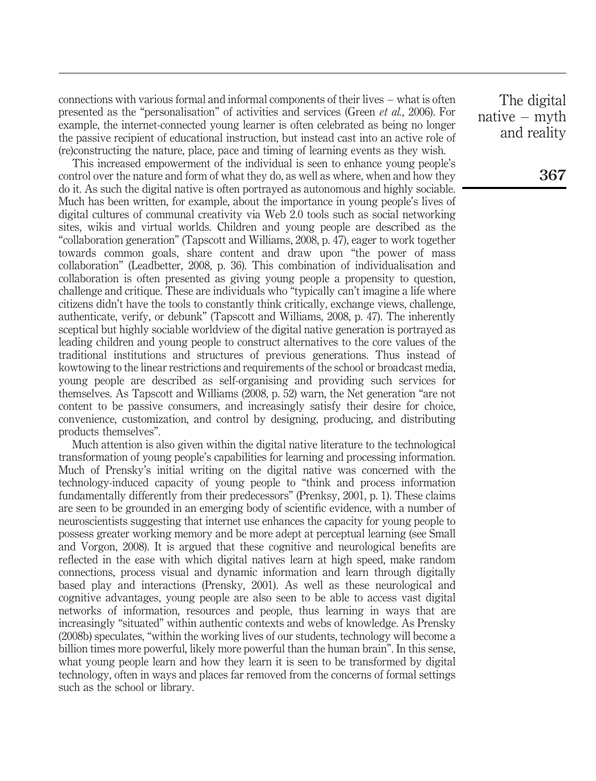connections with various formal and informal components of their lives – what is often presented as the "personalisation" of activities and services (Green et al., 2006). For example, the internet-connected young learner is often celebrated as being no longer the passive recipient of educational instruction, but instead cast into an active role of (re)constructing the nature, place, pace and timing of learning events as they wish.

This increased empowerment of the individual is seen to enhance young people's control over the nature and form of what they do, as well as where, when and how they do it. As such the digital native is often portrayed as autonomous and highly sociable. Much has been written, for example, about the importance in young people's lives of digital cultures of communal creativity via Web 2.0 tools such as social networking sites, wikis and virtual worlds. Children and young people are described as the "collaboration generation" (Tapscott and Williams, 2008, p. 47), eager to work together towards common goals, share content and draw upon "the power of mass collaboration" (Leadbetter, 2008, p. 36). This combination of individualisation and collaboration is often presented as giving young people a propensity to question, challenge and critique. These are individuals who "typically can't imagine a life where citizens didn't have the tools to constantly think critically, exchange views, challenge, authenticate, verify, or debunk" (Tapscott and Williams, 2008, p. 47). The inherently sceptical but highly sociable worldview of the digital native generation is portrayed as leading children and young people to construct alternatives to the core values of the traditional institutions and structures of previous generations. Thus instead of kowtowing to the linear restrictions and requirements of the school or broadcast media, young people are described as self-organising and providing such services for themselves. As Tapscott and Williams (2008, p. 52) warn, the Net generation "are not content to be passive consumers, and increasingly satisfy their desire for choice, convenience, customization, and control by designing, producing, and distributing products themselves".

Much attention is also given within the digital native literature to the technological transformation of young people's capabilities for learning and processing information. Much of Prensky's initial writing on the digital native was concerned with the technology-induced capacity of young people to "think and process information fundamentally differently from their predecessors" (Prenksy, 2001, p. 1). These claims are seen to be grounded in an emerging body of scientific evidence, with a number of neuroscientists suggesting that internet use enhances the capacity for young people to possess greater working memory and be more adept at perceptual learning (see Small and Vorgon, 2008). It is argued that these cognitive and neurological benefits are reflected in the ease with which digital natives learn at high speed, make random connections, process visual and dynamic information and learn through digitally based play and interactions (Prensky, 2001). As well as these neurological and cognitive advantages, young people are also seen to be able to access vast digital networks of information, resources and people, thus learning in ways that are increasingly "situated" within authentic contexts and webs of knowledge. As Prensky (2008b) speculates, "within the working lives of our students, technology will become a billion times more powerful, likely more powerful than the human brain". In this sense, what young people learn and how they learn it is seen to be transformed by digital technology, often in ways and places far removed from the concerns of formal settings such as the school or library.

The digital native – myth and reality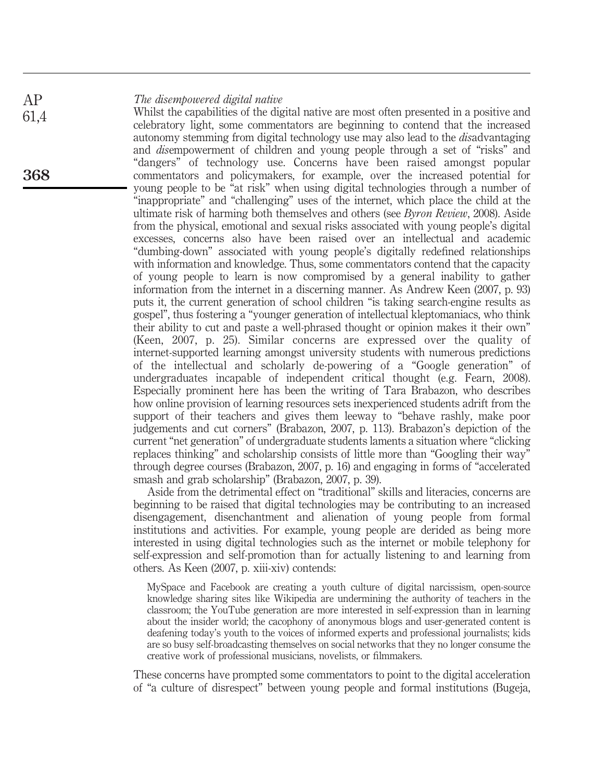# The disempowered digital native

AP 61,4

368

Whilst the capabilities of the digital native are most often presented in a positive and celebratory light, some commentators are beginning to contend that the increased autonomy stemming from digital technology use may also lead to the *disadvantaging* and disempowerment of children and young people through a set of "risks" and "dangers" of technology use. Concerns have been raised amongst popular commentators and policymakers, for example, over the increased potential for young people to be "at risk" when using digital technologies through a number of "inappropriate" and "challenging" uses of the internet, which place the child at the ultimate risk of harming both themselves and others (see Byron Review, 2008). Aside from the physical, emotional and sexual risks associated with young people's digital excesses, concerns also have been raised over an intellectual and academic "dumbing-down" associated with young people's digitally redefined relationships with information and knowledge. Thus, some commentators contend that the capacity of young people to learn is now compromised by a general inability to gather information from the internet in a discerning manner. As Andrew Keen (2007, p. 93) puts it, the current generation of school children "is taking search-engine results as gospel", thus fostering a "younger generation of intellectual kleptomaniacs, who think their ability to cut and paste a well-phrased thought or opinion makes it their own" (Keen, 2007, p. 25). Similar concerns are expressed over the quality of internet-supported learning amongst university students with numerous predictions of the intellectual and scholarly de-powering of a "Google generation" of undergraduates incapable of independent critical thought (e.g. Fearn, 2008). Especially prominent here has been the writing of Tara Brabazon, who describes how online provision of learning resources sets inexperienced students adrift from the support of their teachers and gives them leeway to "behave rashly, make poor judgements and cut corners" (Brabazon, 2007, p. 113). Brabazon's depiction of the current "net generation" of undergraduate students laments a situation where "clicking replaces thinking" and scholarship consists of little more than "Googling their way" through degree courses (Brabazon, 2007, p. 16) and engaging in forms of "accelerated smash and grab scholarship" (Brabazon, 2007, p. 39).

Aside from the detrimental effect on "traditional" skills and literacies, concerns are beginning to be raised that digital technologies may be contributing to an increased disengagement, disenchantment and alienation of young people from formal institutions and activities. For example, young people are derided as being more interested in using digital technologies such as the internet or mobile telephony for self-expression and self-promotion than for actually listening to and learning from others. As Keen (2007, p. xiii-xiv) contends:

MySpace and Facebook are creating a youth culture of digital narcissism, open-source knowledge sharing sites like Wikipedia are undermining the authority of teachers in the classroom; the YouTube generation are more interested in self-expression than in learning about the insider world; the cacophony of anonymous blogs and user-generated content is deafening today's youth to the voices of informed experts and professional journalists; kids are so busy self-broadcasting themselves on social networks that they no longer consume the creative work of professional musicians, novelists, or filmmakers.

These concerns have prompted some commentators to point to the digital acceleration of "a culture of disrespect" between young people and formal institutions (Bugeja,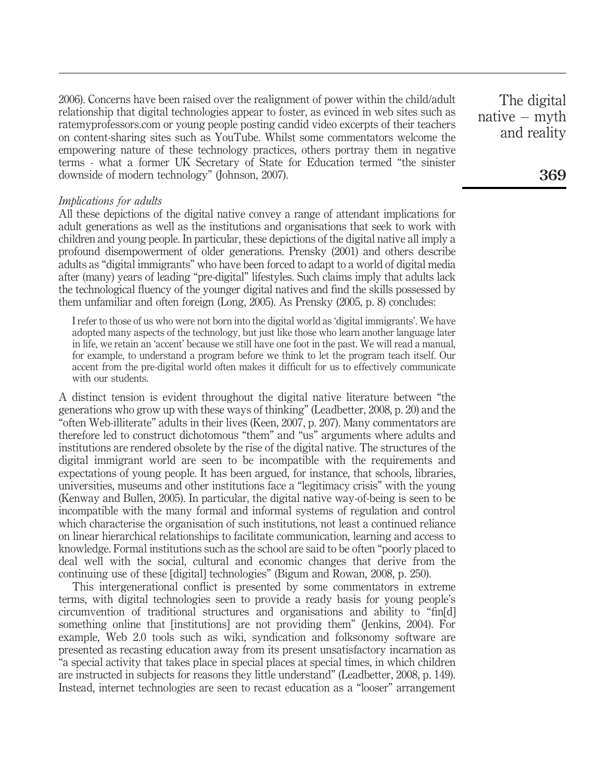2006). Concerns have been raised over the realignment of power within the child/adult relationship that digital technologies appear to foster, as evinced in web sites such as ratemyprofessors.com or young people posting candid video excerpts of their teachers on content-sharing sites such as YouTube. Whilst some commentators welcome the empowering nature of these technology practices, others portray them in negative terms - what a former UK Secretary of State for Education termed "the sinister downside of modern technology" (Johnson, 2007).

## Implications for adults

All these depictions of the digital native convey a range of attendant implications for adult generations as well as the institutions and organisations that seek to work with children and young people. In particular, these depictions of the digital native all imply a profound disempowerment of older generations. Prensky (2001) and others describe adults as "digital immigrants" who have been forced to adapt to a world of digital media after (many) years of leading "pre-digital" lifestyles. Such claims imply that adults lack the technological fluency of the younger digital natives and find the skills possessed by them unfamiliar and often foreign (Long, 2005). As Prensky (2005, p. 8) concludes:

I refer to those of us who were not born into the digital world as 'digital immigrants'. We have adopted many aspects of the technology, but just like those who learn another language later in life, we retain an 'accent' because we still have one foot in the past. We will read a manual, for example, to understand a program before we think to let the program teach itself. Our accent from the pre-digital world often makes it difficult for us to effectively communicate with our students.

A distinct tension is evident throughout the digital native literature between "the generations who grow up with these ways of thinking" (Leadbetter, 2008, p. 20) and the "often Web-illiterate" adults in their lives (Keen, 2007, p. 207). Many commentators are therefore led to construct dichotomous "them" and "us" arguments where adults and institutions are rendered obsolete by the rise of the digital native. The structures of the digital immigrant world are seen to be incompatible with the requirements and expectations of young people. It has been argued, for instance, that schools, libraries, universities, museums and other institutions face a "legitimacy crisis" with the young (Kenway and Bullen, 2005). In particular, the digital native way-of-being is seen to be incompatible with the many formal and informal systems of regulation and control which characterise the organisation of such institutions, not least a continued reliance on linear hierarchical relationships to facilitate communication, learning and access to knowledge. Formal institutions such as the school are said to be often "poorly placed to deal well with the social, cultural and economic changes that derive from the continuing use of these [digital] technologies" (Bigum and Rowan, 2008, p. 250).

This intergenerational conflict is presented by some commentators in extreme terms, with digital technologies seen to provide a ready basis for young people's circumvention of traditional structures and organisations and ability to "fin[d] something online that [institutions] are not providing them" (Jenkins, 2004). For example, Web 2.0 tools such as wiki, syndication and folksonomy software are presented as recasting education away from its present unsatisfactory incarnation as "a special activity that takes place in special places at special times, in which children are instructed in subjects for reasons they little understand" (Leadbetter, 2008, p. 149). Instead, internet technologies are seen to recast education as a "looser" arrangement

The digital native – myth and reality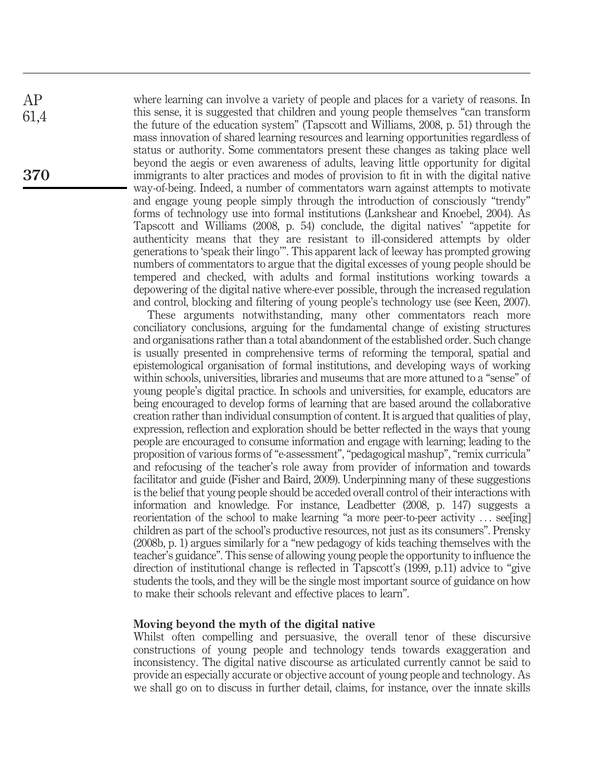where learning can involve a variety of people and places for a variety of reasons. In this sense, it is suggested that children and young people themselves "can transform the future of the education system" (Tapscott and Williams, 2008, p. 51) through the mass innovation of shared learning resources and learning opportunities regardless of status or authority. Some commentators present these changes as taking place well beyond the aegis or even awareness of adults, leaving little opportunity for digital immigrants to alter practices and modes of provision to fit in with the digital native way-of-being. Indeed, a number of commentators warn against attempts to motivate and engage young people simply through the introduction of consciously "trendy" forms of technology use into formal institutions (Lankshear and Knoebel, 2004). As Tapscott and Williams (2008, p. 54) conclude, the digital natives' "appetite for authenticity means that they are resistant to ill-considered attempts by older generations to 'speak their lingo'". This apparent lack of leeway has prompted growing numbers of commentators to argue that the digital excesses of young people should be tempered and checked, with adults and formal institutions working towards a depowering of the digital native where-ever possible, through the increased regulation and control, blocking and filtering of young people's technology use (see Keen, 2007).

These arguments notwithstanding, many other commentators reach more conciliatory conclusions, arguing for the fundamental change of existing structures and organisations rather than a total abandonment of the established order. Such change is usually presented in comprehensive terms of reforming the temporal, spatial and epistemological organisation of formal institutions, and developing ways of working within schools, universities, libraries and museums that are more attuned to a "sense" of young people's digital practice. In schools and universities, for example, educators are being encouraged to develop forms of learning that are based around the collaborative creation rather than individual consumption of content. It is argued that qualities of play, expression, reflection and exploration should be better reflected in the ways that young people are encouraged to consume information and engage with learning; leading to the proposition of various forms of "e-assessment", "pedagogical mashup", "remix curricula" and refocusing of the teacher's role away from provider of information and towards facilitator and guide (Fisher and Baird, 2009). Underpinning many of these suggestions is the belief that young people should be acceded overall control of their interactions with information and knowledge. For instance, Leadbetter (2008, p. 147) suggests a reorientation of the school to make learning "a more peer-to-peer activity ... see[ing] children as part of the school's productive resources, not just as its consumers". Prensky (2008b, p. 1) argues similarly for a "new pedagogy of kids teaching themselves with the teacher's guidance". This sense of allowing young people the opportunity to influence the direction of institutional change is reflected in Tapscott's (1999, p.11) advice to "give students the tools, and they will be the single most important source of guidance on how to make their schools relevant and effective places to learn".

# Moving beyond the myth of the digital native

Whilst often compelling and persuasive, the overall tenor of these discursive constructions of young people and technology tends towards exaggeration and inconsistency. The digital native discourse as articulated currently cannot be said to provide an especially accurate or objective account of young people and technology. As we shall go on to discuss in further detail, claims, for instance, over the innate skills

AP 61,4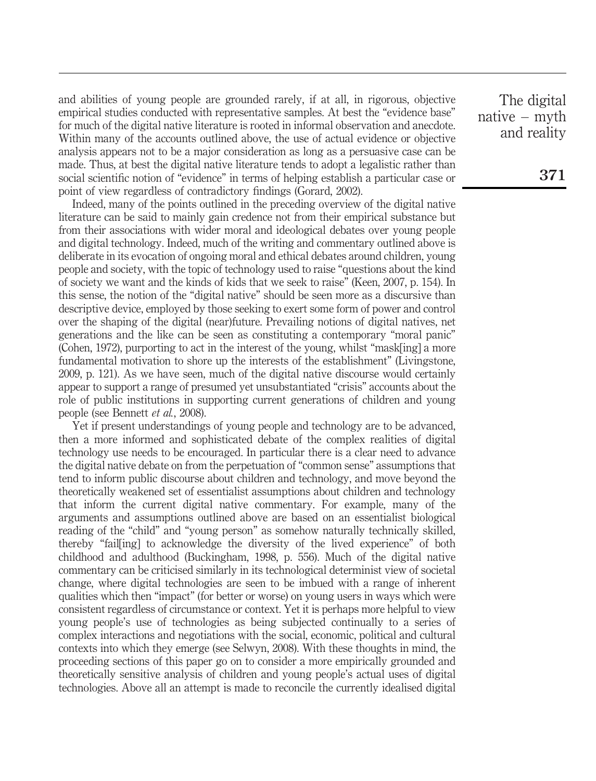and abilities of young people are grounded rarely, if at all, in rigorous, objective empirical studies conducted with representative samples. At best the "evidence base" for much of the digital native literature is rooted in informal observation and anecdote. Within many of the accounts outlined above, the use of actual evidence or objective analysis appears not to be a major consideration as long as a persuasive case can be made. Thus, at best the digital native literature tends to adopt a legalistic rather than social scientific notion of "evidence" in terms of helping establish a particular case or point of view regardless of contradictory findings (Gorard, 2002).

Indeed, many of the points outlined in the preceding overview of the digital native literature can be said to mainly gain credence not from their empirical substance but from their associations with wider moral and ideological debates over young people and digital technology. Indeed, much of the writing and commentary outlined above is deliberate in its evocation of ongoing moral and ethical debates around children, young people and society, with the topic of technology used to raise "questions about the kind of society we want and the kinds of kids that we seek to raise" (Keen, 2007, p. 154). In this sense, the notion of the "digital native" should be seen more as a discursive than descriptive device, employed by those seeking to exert some form of power and control over the shaping of the digital (near)future. Prevailing notions of digital natives, net generations and the like can be seen as constituting a contemporary "moral panic" (Cohen, 1972), purporting to act in the interest of the young, whilst "mask[ing] a more fundamental motivation to shore up the interests of the establishment" (Livingstone, 2009, p. 121). As we have seen, much of the digital native discourse would certainly appear to support a range of presumed yet unsubstantiated "crisis" accounts about the role of public institutions in supporting current generations of children and young people (see Bennett et al., 2008).

Yet if present understandings of young people and technology are to be advanced, then a more informed and sophisticated debate of the complex realities of digital technology use needs to be encouraged. In particular there is a clear need to advance the digital native debate on from the perpetuation of "common sense" assumptions that tend to inform public discourse about children and technology, and move beyond the theoretically weakened set of essentialist assumptions about children and technology that inform the current digital native commentary. For example, many of the arguments and assumptions outlined above are based on an essentialist biological reading of the "child" and "young person" as somehow naturally technically skilled, thereby "fail[ing] to acknowledge the diversity of the lived experience" of both childhood and adulthood (Buckingham, 1998, p. 556). Much of the digital native commentary can be criticised similarly in its technological determinist view of societal change, where digital technologies are seen to be imbued with a range of inherent qualities which then "impact" (for better or worse) on young users in ways which were consistent regardless of circumstance or context. Yet it is perhaps more helpful to view young people's use of technologies as being subjected continually to a series of complex interactions and negotiations with the social, economic, political and cultural contexts into which they emerge (see Selwyn, 2008). With these thoughts in mind, the proceeding sections of this paper go on to consider a more empirically grounded and theoretically sensitive analysis of children and young people's actual uses of digital technologies. Above all an attempt is made to reconcile the currently idealised digital

The digital native – myth and reality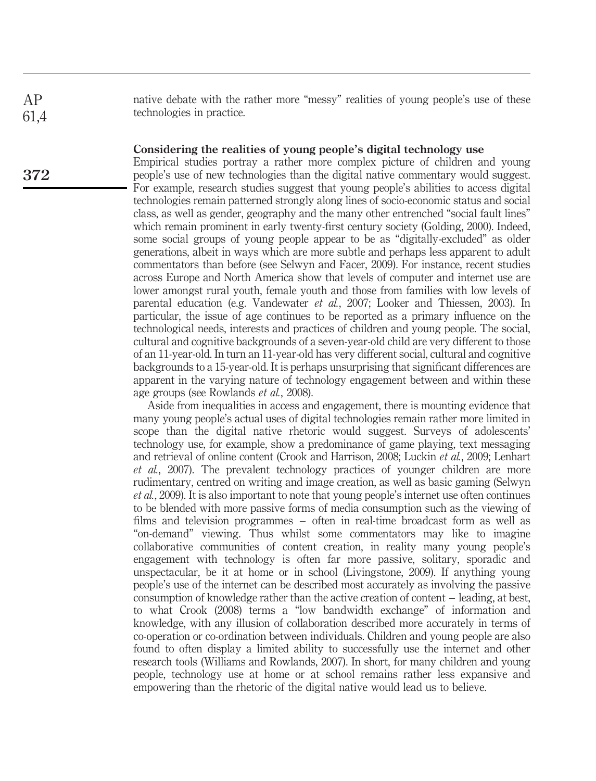native debate with the rather more "messy" realities of young people's use of these technologies in practice.

# Considering the realities of young people's digital technology use

Empirical studies portray a rather more complex picture of children and young people's use of new technologies than the digital native commentary would suggest. For example, research studies suggest that young people's abilities to access digital technologies remain patterned strongly along lines of socio-economic status and social class, as well as gender, geography and the many other entrenched "social fault lines" which remain prominent in early twenty-first century society (Golding, 2000). Indeed, some social groups of young people appear to be as "digitally-excluded" as older generations, albeit in ways which are more subtle and perhaps less apparent to adult commentators than before (see Selwyn and Facer, 2009). For instance, recent studies across Europe and North America show that levels of computer and internet use are lower amongst rural youth, female youth and those from families with low levels of parental education (e.g. Vandewater et al., 2007; Looker and Thiessen, 2003). In particular, the issue of age continues to be reported as a primary influence on the technological needs, interests and practices of children and young people. The social, cultural and cognitive backgrounds of a seven-year-old child are very different to those of an 11-year-old. In turn an 11-year-old has very different social, cultural and cognitive backgrounds to a 15-year-old. It is perhaps unsurprising that significant differences are apparent in the varying nature of technology engagement between and within these age groups (see Rowlands et al., 2008).

Aside from inequalities in access and engagement, there is mounting evidence that many young people's actual uses of digital technologies remain rather more limited in scope than the digital native rhetoric would suggest. Surveys of adolescents' technology use, for example, show a predominance of game playing, text messaging and retrieval of online content (Crook and Harrison, 2008; Luckin et al., 2009; Lenhart et al., 2007). The prevalent technology practices of younger children are more rudimentary, centred on writing and image creation, as well as basic gaming (Selwyn et al., 2009). It is also important to note that young people's internet use often continues to be blended with more passive forms of media consumption such as the viewing of films and television programmes – often in real-time broadcast form as well as "on-demand" viewing. Thus whilst some commentators may like to imagine collaborative communities of content creation, in reality many young people's engagement with technology is often far more passive, solitary, sporadic and unspectacular, be it at home or in school (Livingstone, 2009). If anything young people's use of the internet can be described most accurately as involving the passive consumption of knowledge rather than the active creation of content – leading, at best, to what Crook (2008) terms a "low bandwidth exchange" of information and knowledge, with any illusion of collaboration described more accurately in terms of co-operation or co-ordination between individuals. Children and young people are also found to often display a limited ability to successfully use the internet and other research tools (Williams and Rowlands, 2007). In short, for many children and young people, technology use at home or at school remains rather less expansive and empowering than the rhetoric of the digital native would lead us to believe.

AP 61,4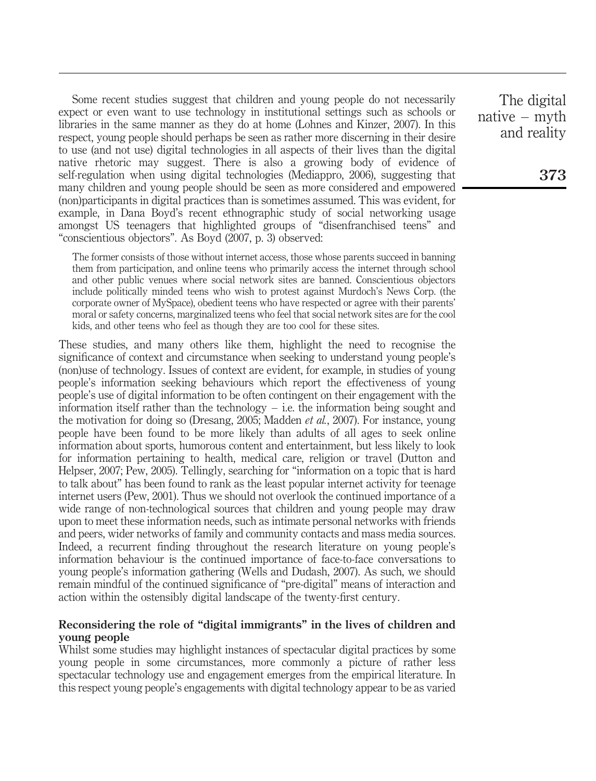Some recent studies suggest that children and young people do not necessarily expect or even want to use technology in institutional settings such as schools or libraries in the same manner as they do at home (Lohnes and Kinzer, 2007). In this respect, young people should perhaps be seen as rather more discerning in their desire to use (and not use) digital technologies in all aspects of their lives than the digital native rhetoric may suggest. There is also a growing body of evidence of self-regulation when using digital technologies (Mediappro, 2006), suggesting that many children and young people should be seen as more considered and empowered (non)participants in digital practices than is sometimes assumed. This was evident, for example, in Dana Boyd's recent ethnographic study of social networking usage amongst US teenagers that highlighted groups of "disenfranchised teens" and "conscientious objectors". As Boyd (2007, p. 3) observed:

The former consists of those without internet access, those whose parents succeed in banning them from participation, and online teens who primarily access the internet through school and other public venues where social network sites are banned. Conscientious objectors include politically minded teens who wish to protest against Murdoch's News Corp. (the corporate owner of MySpace), obedient teens who have respected or agree with their parents' moral or safety concerns, marginalized teens who feel that social network sites are for the cool kids, and other teens who feel as though they are too cool for these sites.

These studies, and many others like them, highlight the need to recognise the significance of context and circumstance when seeking to understand young people's (non)use of technology. Issues of context are evident, for example, in studies of young people's information seeking behaviours which report the effectiveness of young people's use of digital information to be often contingent on their engagement with the information itself rather than the technology – i.e. the information being sought and the motivation for doing so (Dresang, 2005; Madden et al., 2007). For instance, young people have been found to be more likely than adults of all ages to seek online information about sports, humorous content and entertainment, but less likely to look for information pertaining to health, medical care, religion or travel (Dutton and Helpser, 2007; Pew, 2005). Tellingly, searching for "information on a topic that is hard to talk about" has been found to rank as the least popular internet activity for teenage internet users (Pew, 2001). Thus we should not overlook the continued importance of a wide range of non-technological sources that children and young people may draw upon to meet these information needs, such as intimate personal networks with friends and peers, wider networks of family and community contacts and mass media sources. Indeed, a recurrent finding throughout the research literature on young people's information behaviour is the continued importance of face-to-face conversations to young people's information gathering (Wells and Dudash, 2007). As such, we should remain mindful of the continued significance of "pre-digital" means of interaction and action within the ostensibly digital landscape of the twenty-first century.

# Reconsidering the role of "digital immigrants" in the lives of children and young people

Whilst some studies may highlight instances of spectacular digital practices by some young people in some circumstances, more commonly a picture of rather less spectacular technology use and engagement emerges from the empirical literature. In this respect young people's engagements with digital technology appear to be as varied

The digital native – myth and reality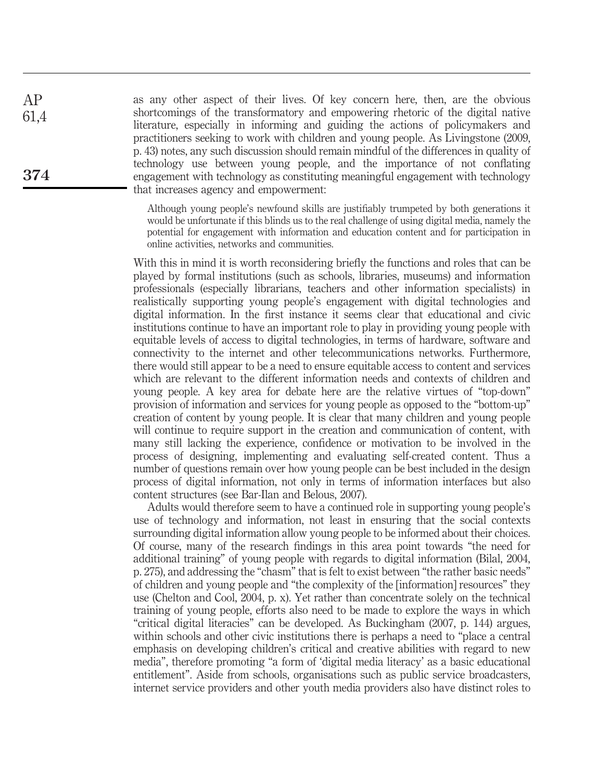as any other aspect of their lives. Of key concern here, then, are the obvious shortcomings of the transformatory and empowering rhetoric of the digital native literature, especially in informing and guiding the actions of policymakers and practitioners seeking to work with children and young people. As Livingstone (2009, p. 43) notes, any such discussion should remain mindful of the differences in quality of technology use between young people, and the importance of not conflating engagement with technology as constituting meaningful engagement with technology that increases agency and empowerment:

AP 61,4

374

Although young people's newfound skills are justifiably trumpeted by both generations it would be unfortunate if this blinds us to the real challenge of using digital media, namely the potential for engagement with information and education content and for participation in online activities, networks and communities.

With this in mind it is worth reconsidering briefly the functions and roles that can be played by formal institutions (such as schools, libraries, museums) and information professionals (especially librarians, teachers and other information specialists) in realistically supporting young people's engagement with digital technologies and digital information. In the first instance it seems clear that educational and civic institutions continue to have an important role to play in providing young people with equitable levels of access to digital technologies, in terms of hardware, software and connectivity to the internet and other telecommunications networks. Furthermore, there would still appear to be a need to ensure equitable access to content and services which are relevant to the different information needs and contexts of children and young people. A key area for debate here are the relative virtues of "top-down" provision of information and services for young people as opposed to the "bottom-up" creation of content by young people. It is clear that many children and young people will continue to require support in the creation and communication of content, with many still lacking the experience, confidence or motivation to be involved in the process of designing, implementing and evaluating self-created content. Thus a number of questions remain over how young people can be best included in the design process of digital information, not only in terms of information interfaces but also content structures (see Bar-Ilan and Belous, 2007).

Adults would therefore seem to have a continued role in supporting young people's use of technology and information, not least in ensuring that the social contexts surrounding digital information allow young people to be informed about their choices. Of course, many of the research findings in this area point towards "the need for additional training" of young people with regards to digital information (Bilal, 2004, p. 275), and addressing the "chasm" that is felt to exist between "the rather basic needs" of children and young people and "the complexity of the [information] resources" they use (Chelton and Cool, 2004, p. x). Yet rather than concentrate solely on the technical training of young people, efforts also need to be made to explore the ways in which "critical digital literacies" can be developed. As Buckingham (2007, p. 144) argues, within schools and other civic institutions there is perhaps a need to "place a central emphasis on developing children's critical and creative abilities with regard to new media", therefore promoting "a form of 'digital media literacy' as a basic educational entitlement". Aside from schools, organisations such as public service broadcasters, internet service providers and other youth media providers also have distinct roles to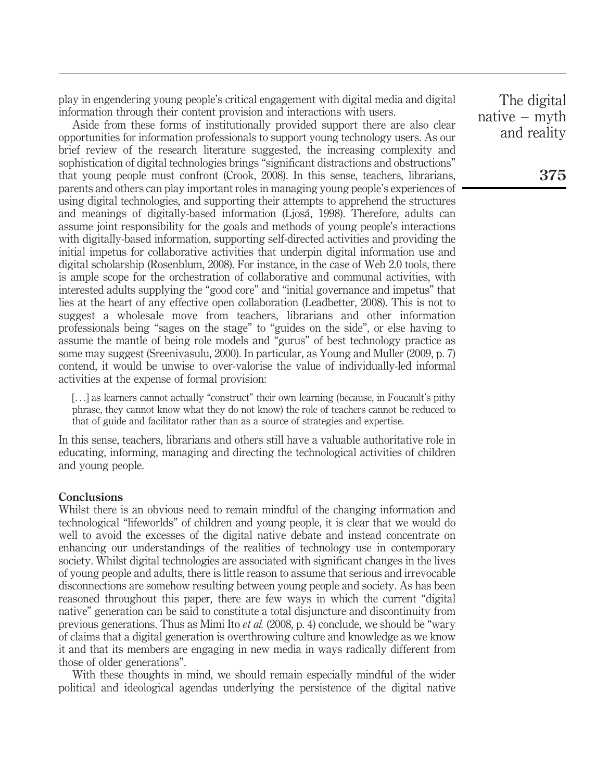play in engendering young people's critical engagement with digital media and digital information through their content provision and interactions with users.

Aside from these forms of institutionally provided support there are also clear opportunities for information professionals to support young technology users. As our brief review of the research literature suggested, the increasing complexity and sophistication of digital technologies brings "significant distractions and obstructions" that young people must confront (Crook, 2008). In this sense, teachers, librarians, parents and others can play important roles in managing young people's experiences of using digital technologies, and supporting their attempts to apprehend the structures and meanings of digitally-based information (Ljoså, 1998). Therefore, adults can assume joint responsibility for the goals and methods of young people's interactions with digitally-based information, supporting self-directed activities and providing the initial impetus for collaborative activities that underpin digital information use and digital scholarship (Rosenblum, 2008). For instance, in the case of Web 2.0 tools, there is ample scope for the orchestration of collaborative and communal activities, with interested adults supplying the "good core" and "initial governance and impetus" that lies at the heart of any effective open collaboration (Leadbetter, 2008). This is not to suggest a wholesale move from teachers, librarians and other information professionals being "sages on the stage" to "guides on the side", or else having to assume the mantle of being role models and "gurus" of best technology practice as some may suggest (Sreenivasulu, 2000). In particular, as Young and Muller (2009, p. 7) contend, it would be unwise to over-valorise the value of individually-led informal activities at the expense of formal provision:

[...] as learners cannot actually "construct" their own learning (because, in Foucault's pithy phrase, they cannot know what they do not know) the role of teachers cannot be reduced to that of guide and facilitator rather than as a source of strategies and expertise.

In this sense, teachers, librarians and others still have a valuable authoritative role in educating, informing, managing and directing the technological activities of children and young people.

## **Conclusions**

Whilst there is an obvious need to remain mindful of the changing information and technological "lifeworlds" of children and young people, it is clear that we would do well to avoid the excesses of the digital native debate and instead concentrate on enhancing our understandings of the realities of technology use in contemporary society. Whilst digital technologies are associated with significant changes in the lives of young people and adults, there is little reason to assume that serious and irrevocable disconnections are somehow resulting between young people and society. As has been reasoned throughout this paper, there are few ways in which the current "digital native" generation can be said to constitute a total disjuncture and discontinuity from previous generations. Thus as Mimi Ito et al. (2008, p. 4) conclude, we should be "wary of claims that a digital generation is overthrowing culture and knowledge as we know it and that its members are engaging in new media in ways radically different from those of older generations".

With these thoughts in mind, we should remain especially mindful of the wider political and ideological agendas underlying the persistence of the digital native

The digital native – myth and reality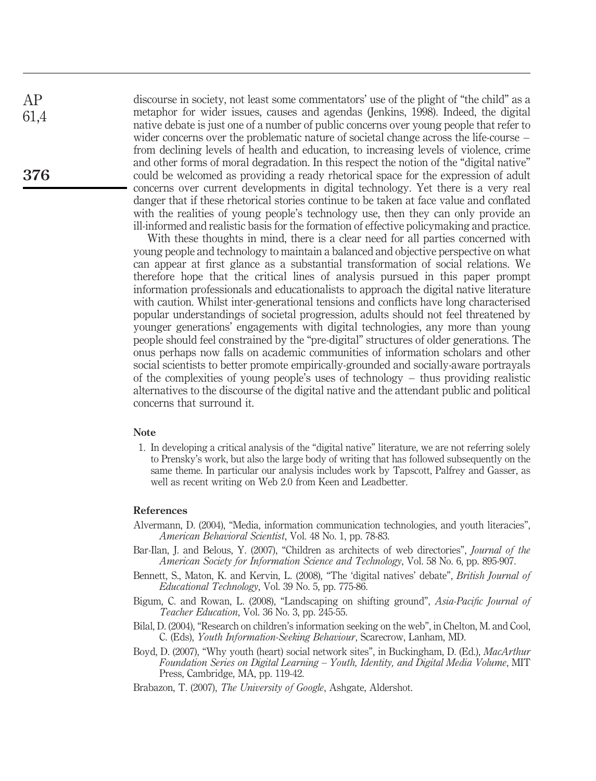discourse in society, not least some commentators' use of the plight of "the child" as a metaphor for wider issues, causes and agendas (Jenkins, 1998). Indeed, the digital native debate is just one of a number of public concerns over young people that refer to wider concerns over the problematic nature of societal change across the life-course – from declining levels of health and education, to increasing levels of violence, crime and other forms of moral degradation. In this respect the notion of the "digital native" could be welcomed as providing a ready rhetorical space for the expression of adult concerns over current developments in digital technology. Yet there is a very real danger that if these rhetorical stories continue to be taken at face value and conflated with the realities of young people's technology use, then they can only provide an ill-informed and realistic basis for the formation of effective policymaking and practice.

With these thoughts in mind, there is a clear need for all parties concerned with young people and technology to maintain a balanced and objective perspective on what can appear at first glance as a substantial transformation of social relations. We therefore hope that the critical lines of analysis pursued in this paper prompt information professionals and educationalists to approach the digital native literature with caution. Whilst inter-generational tensions and conflicts have long characterised popular understandings of societal progression, adults should not feel threatened by younger generations' engagements with digital technologies, any more than young people should feel constrained by the "pre-digital" structures of older generations. The onus perhaps now falls on academic communities of information scholars and other social scientists to better promote empirically-grounded and socially-aware portrayals of the complexities of young people's uses of technology – thus providing realistic alternatives to the discourse of the digital native and the attendant public and political concerns that surround it.

#### Note

1. In developing a critical analysis of the "digital native" literature, we are not referring solely to Prensky's work, but also the large body of writing that has followed subsequently on the same theme. In particular our analysis includes work by Tapscott, Palfrey and Gasser, as well as recent writing on Web 2.0 from Keen and Leadbetter.

#### References

- Alvermann, D. (2004), "Media, information communication technologies, and youth literacies", American Behavioral Scientist, Vol. 48 No. 1, pp. 78-83.
- Bar-Ilan, J. and Belous, Y. (2007), "Children as architects of web directories", Journal of the American Society for Information Science and Technology, Vol. 58 No. 6, pp. 895-907.
- Bennett, S., Maton, K. and Kervin, L. (2008), "The 'digital natives' debate", British Journal of Educational Technology, Vol. 39 No. 5, pp. 775-86.
- Bigum, C. and Rowan, L. (2008), "Landscaping on shifting ground", Asia-Pacific Journal of Teacher Education, Vol. 36 No. 3, pp. 245-55.
- Bilal, D. (2004), "Research on children's information seeking on the web", in Chelton, M. and Cool, C. (Eds), Youth Information-Seeking Behaviour, Scarecrow, Lanham, MD.
- Boyd, D. (2007), "Why youth (heart) social network sites", in Buckingham, D. (Ed.), MacArthur Foundation Series on Digital Learning – Youth, Identity, and Digital Media Volume, MIT Press, Cambridge, MA, pp. 119-42.
- Brabazon, T. (2007), The University of Google, Ashgate, Aldershot.

AP 61,4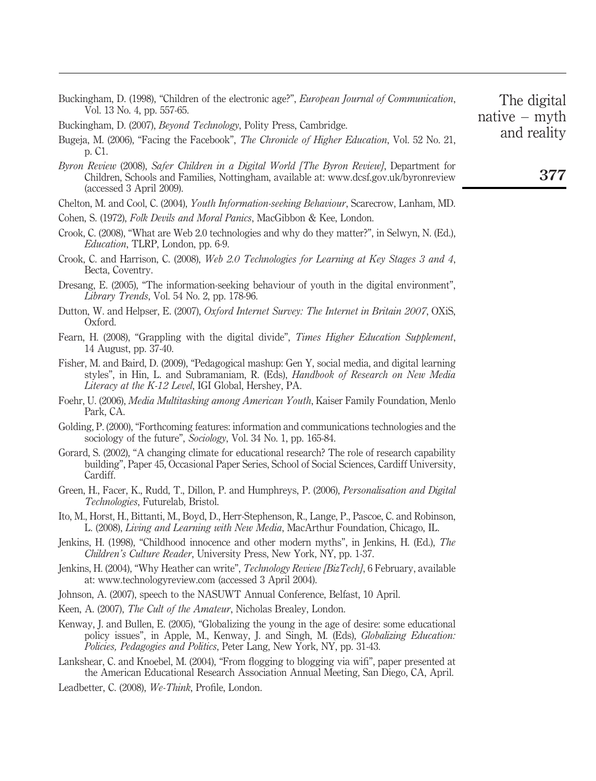| Buckingham, D. (1998), "Children of the electronic age?", European Journal of Communication,<br>Vol. 13 No. 4, pp. 557-65.                                                                                                                                         | The digital<br>native $-$ myth |
|--------------------------------------------------------------------------------------------------------------------------------------------------------------------------------------------------------------------------------------------------------------------|--------------------------------|
| Buckingham, D. (2007), Beyond Technology, Polity Press, Cambridge.                                                                                                                                                                                                 |                                |
| Bugeja, M. (2006), "Facing the Facebook", The Chronicle of Higher Education, Vol. 52 No. 21,<br>p. C1.                                                                                                                                                             | and reality                    |
| Byron Review (2008), Safer Children in a Digital World [The Byron Review], Department for<br>Children, Schools and Families, Nottingham, available at: www.dcsf.gov.uk/byronreview<br>(accessed 3 April 2009).                                                     | 377                            |
| Chelton, M. and Cool, C. (2004), <i>Youth Information-seeking Behaviour</i> , Scarecrow, Lanham, MD.                                                                                                                                                               |                                |
| Cohen, S. (1972), Folk Devils and Moral Panics, MacGibbon & Kee, London.                                                                                                                                                                                           |                                |
| Crook, C. (2008), "What are Web 2.0 technologies and why do they matter?", in Selwyn, N. (Ed.),<br>Education, TLRP, London, pp. 6-9.                                                                                                                               |                                |
| Crook, C. and Harrison, C. (2008), Web 2.0 Technologies for Learning at Key Stages 3 and 4,<br>Becta, Coventry.                                                                                                                                                    |                                |
| Dresang, E. (2005), "The information-seeking behaviour of youth in the digital environment",<br>Library Trends, Vol. 54 No. 2, pp. 178-96.                                                                                                                         |                                |
| Dutton, W. and Helpser, E. (2007), Oxford Internet Survey: The Internet in Britain 2007, OXiS,<br>Oxford.                                                                                                                                                          |                                |
| Fearn, H. (2008), "Grappling with the digital divide", Times Higher Education Supplement,<br>14 August, pp. 37-40.                                                                                                                                                 |                                |
| Fisher, M. and Baird, D. (2009), "Pedagogical mashup: Gen Y, social media, and digital learning<br>styles", in Hin, L. and Subramaniam, R. (Eds), Handbook of Research on New Media<br>Literacy at the K-12 Level, IGI Global, Hershey, PA.                        |                                |
| Foehr, U. (2006), Media Multitasking among American Youth, Kaiser Family Foundation, Menlo<br>Park, CA.                                                                                                                                                            |                                |
| Golding, P. (2000), "Forthcoming features: information and communications technologies and the<br>sociology of the future", Sociology, Vol. 34 No. 1, pp. 165-84.                                                                                                  |                                |
| Gorard, S. (2002), "A changing climate for educational research? The role of research capability<br>building", Paper 45, Occasional Paper Series, School of Social Sciences, Cardiff University,<br>Cardiff.                                                       |                                |
| Green, H., Facer, K., Rudd, T., Dillon, P. and Humphreys, P. (2006), Personalisation and Digital<br>Technologies, Futurelab, Bristol.                                                                                                                              |                                |
| Ito, M., Horst, H., Bittanti, M., Boyd, D., Herr-Stephenson, R., Lange, P., Pascoe, C. and Robinson,<br>L. (2008), Living and Learning with New Media, MacArthur Foundation, Chicago, IL.                                                                          |                                |
| Jenkins, H. (1998), "Childhood innocence and other modern myths", in Jenkins, H. (Ed.), The<br>Children's Culture Reader, University Press, New York, NY, pp. 1-37.                                                                                                |                                |
| Jenkins, H. (2004), "Why Heather can write", Technology Review [BizTech], 6 February, available<br>at: www.technologyreview.com (accessed 3 April 2004).                                                                                                           |                                |
| Johnson, A. (2007), speech to the NASUWT Annual Conference, Belfast, 10 April.                                                                                                                                                                                     |                                |
| Keen, A. (2007), The Cult of the Amateur, Nicholas Brealey, London.                                                                                                                                                                                                |                                |
| Kenway, J. and Bullen, E. (2005), "Globalizing the young in the age of desire: some educational<br>policy issues", in Apple, M., Kenway, J. and Singh, M. (Eds), Globalizing Education:<br>Policies, Pedagogies and Politics, Peter Lang, New York, NY, pp. 31-43. |                                |
| Lankshear, C. and Knoebel, M. (2004), "From flogging to blogging via wifi", paper presented at<br>the American Educational Research Association Annual Meeting, San Diego, CA, April.                                                                              |                                |
| Leadbetter, C. (2008), We-Think, Profile, London.                                                                                                                                                                                                                  |                                |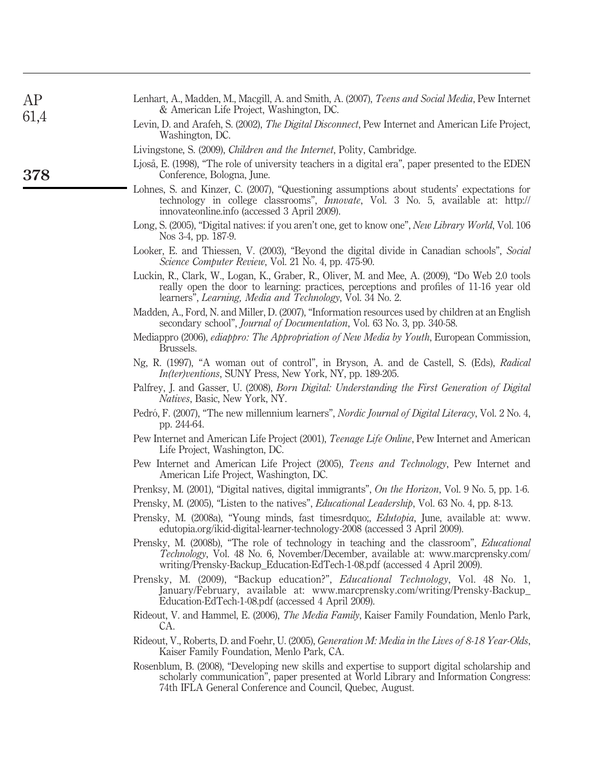| AP   | Lenhart, A., Madden, M., Macgill, A. and Smith, A. (2007), Teens and Social Media, Pew Internet<br>& American Life Project, Washington, DC.                                                                                                                      |
|------|------------------------------------------------------------------------------------------------------------------------------------------------------------------------------------------------------------------------------------------------------------------|
| 61,4 | Levin, D. and Arafeh, S. (2002), The Digital Disconnect, Pew Internet and American Life Project,<br>Washington, DC.                                                                                                                                              |
|      | Livingstone, S. (2009), Children and the Internet, Polity, Cambridge.                                                                                                                                                                                            |
| 378  | Ljoså, E. (1998), "The role of university teachers in a digital era", paper presented to the EDEN<br>Conference, Bologna, June.                                                                                                                                  |
|      | Lohnes, S. and Kinzer, C. (2007), "Questioning assumptions about students' expectations for<br>technology in college classrooms", <i>Innovate</i> , Vol. 3 No. 5, available at: http://<br>innovateonline.info (accessed 3 April 2009).                          |
|      | Long, S. (2005), "Digital natives: if you aren't one, get to know one", New Library World, Vol. 106<br>Nos 3-4, pp. 187-9.                                                                                                                                       |
|      | Looker, E. and Thiessen, V. (2003), "Beyond the digital divide in Canadian schools", Social<br><i>Science Computer Review, Vol. 21 No. 4, pp. 475-90.</i>                                                                                                        |
|      | Luckin, R., Clark, W., Logan, K., Graber, R., Oliver, M. and Mee, A. (2009), "Do Web 2.0 tools<br>really open the door to learning: practices, perceptions and profiles of 11-16 year old<br>learners", Learning, Media and Technology, Vol. 34 No. 2.           |
|      | Madden, A., Ford, N. and Miller, D. (2007), "Information resources used by children at an English<br>secondary school", Journal of Documentation, Vol. 63 No. 3, pp. 340-58.                                                                                     |
|      | Mediappro (2006), ediappro: The Appropriation of New Media by Youth, European Commission,<br>Brussels.                                                                                                                                                           |
|      | Ng, R. (1997), "A woman out of control", in Bryson, A. and de Castell, S. (Eds), Radical<br>In(ter)ventions, SUNY Press, New York, NY, pp. 189-205.                                                                                                              |
|      | Palfrey, J. and Gasser, U. (2008), Born Digital: Understanding the First Generation of Digital<br>Natives, Basic, New York, NY.                                                                                                                                  |
|      | Pedró, F. (2007), "The new millennium learners", Nordic Journal of Digital Literacy, Vol. 2 No. 4,<br>pp. 244-64.                                                                                                                                                |
|      | Pew Internet and American Life Project (2001), Teenage Life Online, Pew Internet and American<br>Life Project, Washington, DC.                                                                                                                                   |
|      | Pew Internet and American Life Project (2005), Teens and Technology, Pew Internet and<br>American Life Project, Washington, DC.                                                                                                                                  |
|      | Prenksy, M. (2001), "Digital natives, digital immigrants", <i>On the Horizon</i> , Vol. 9 No. 5, pp. 1-6.                                                                                                                                                        |
|      | Prensky, M. (2005), "Listen to the natives", <i>Educational Leadership</i> , Vol. 63 No. 4, pp. 8-13.                                                                                                                                                            |
|      | Prensky, M. (2008a), "Young minds, fast timesrdquo;, Edutopia, June, available at: www.<br>edutopia.org/ikid-digital-learner-technology-2008 (accessed 3 April 2009).                                                                                            |
|      | Prensky, M. (2008b), "The role of technology in teaching and the classroom", <i>Educational</i><br>Technology, Vol. 48 No. 6, November/December, available at: www.marcprensky.com/<br>writing/Prensky-Backup_Education-EdTech-1-08.pdf (accessed 4 April 2009). |
|      | Prensky, M. (2009), "Backup education?", Educational Technology, Vol. 48 No. 1,<br>January/February, available at: www.marcprensky.com/writing/Prensky-Backup_<br>Education-EdTech-1-08.pdf (accessed 4 April 2009).                                             |
|      | Rideout, V. and Hammel, E. (2006), The Media Family, Kaiser Family Foundation, Menlo Park,<br>CA.                                                                                                                                                                |
|      | Rideout, V., Roberts, D. and Foehr, U. (2005), Generation M: Media in the Lives of 8-18 Year-Olds,<br>Kaiser Family Foundation, Menlo Park, CA.                                                                                                                  |
|      | Rosenblum, B. (2008), "Developing new skills and expertise to support digital scholarship and<br>scholarly communication", paper presented at World Library and Information Congress:<br>74th IFLA General Conference and Council, Quebec, August.               |
|      |                                                                                                                                                                                                                                                                  |